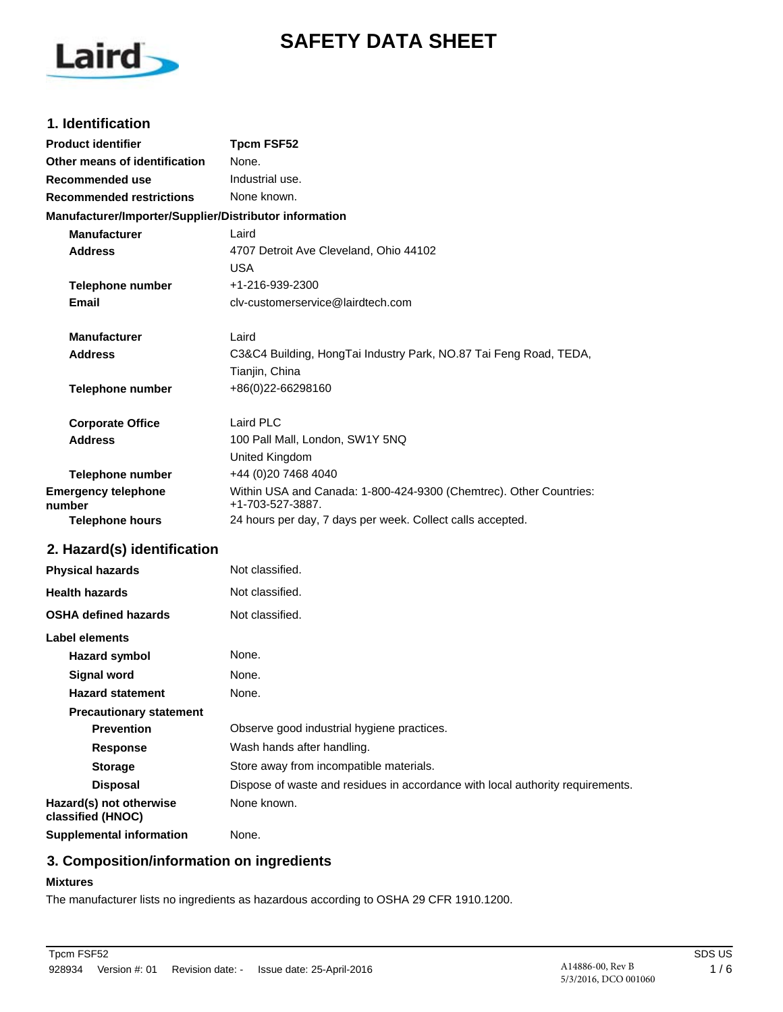# **SAFETY DATA SHEET**



# **1. Identification**

| <b>Product identifier</b>                              | <b>Tpcm FSF52</b>                                                                      |  |  |
|--------------------------------------------------------|----------------------------------------------------------------------------------------|--|--|
| Other means of identification                          | None.                                                                                  |  |  |
| <b>Recommended use</b>                                 | Industrial use.                                                                        |  |  |
| <b>Recommended restrictions</b>                        | None known.                                                                            |  |  |
| Manufacturer/Importer/Supplier/Distributor information |                                                                                        |  |  |
| <b>Manufacturer</b>                                    | Laird                                                                                  |  |  |
| <b>Address</b>                                         | 4707 Detroit Ave Cleveland, Ohio 44102                                                 |  |  |
|                                                        | <b>USA</b>                                                                             |  |  |
| <b>Telephone number</b>                                | +1-216-939-2300                                                                        |  |  |
| Email                                                  | cly-customerservice@lairdtech.com                                                      |  |  |
| <b>Manufacturer</b>                                    | Laird                                                                                  |  |  |
| <b>Address</b>                                         | C3&C4 Building, HongTai Industry Park, NO.87 Tai Feng Road, TEDA,                      |  |  |
|                                                        | Tianjin, China                                                                         |  |  |
| Telephone number                                       | +86(0)22-66298160                                                                      |  |  |
| <b>Corporate Office</b>                                | Laird PLC                                                                              |  |  |
| <b>Address</b>                                         | 100 Pall Mall, London, SW1Y 5NQ                                                        |  |  |
|                                                        | United Kingdom                                                                         |  |  |
| <b>Telephone number</b>                                | +44 (0)20 7468 4040                                                                    |  |  |
| <b>Emergency telephone</b><br>number                   | Within USA and Canada: 1-800-424-9300 (Chemtrec). Other Countries:<br>+1-703-527-3887. |  |  |
| <b>Telephone hours</b>                                 | 24 hours per day, 7 days per week. Collect calls accepted.                             |  |  |
| 2. Hazard(s) identification                            |                                                                                        |  |  |
| <b>Physical hazards</b>                                | Not classified.                                                                        |  |  |
| <b>Health hazards</b>                                  | Not classified.                                                                        |  |  |
| <b>OSHA defined hazards</b>                            | Not classified.                                                                        |  |  |
| Label elements                                         |                                                                                        |  |  |
| <b>Hazard symbol</b>                                   | None.                                                                                  |  |  |
| <b>Signal word</b>                                     | None.                                                                                  |  |  |
| <b>Hazard statement</b>                                | None.                                                                                  |  |  |
| <b>Precautionary statement</b>                         |                                                                                        |  |  |
| <b>Prevention</b>                                      | Observe good industrial hygiene practices.                                             |  |  |
| <b>Response</b>                                        | Wash hands after handling.                                                             |  |  |
| <b>Storage</b>                                         | Store away from incompatible materials.                                                |  |  |
| <b>Disposal</b>                                        | Dispose of waste and residues in accordance with local authority requirements.         |  |  |
| Hazard(s) not otherwise<br>classified (HNOC)           | None known.                                                                            |  |  |
| <b>Supplemental information</b>                        | None.                                                                                  |  |  |

# **3. Composition/information on ingredients**

#### **Mixtures**

The manufacturer lists no ingredients as hazardous according to OSHA 29 CFR 1910.1200.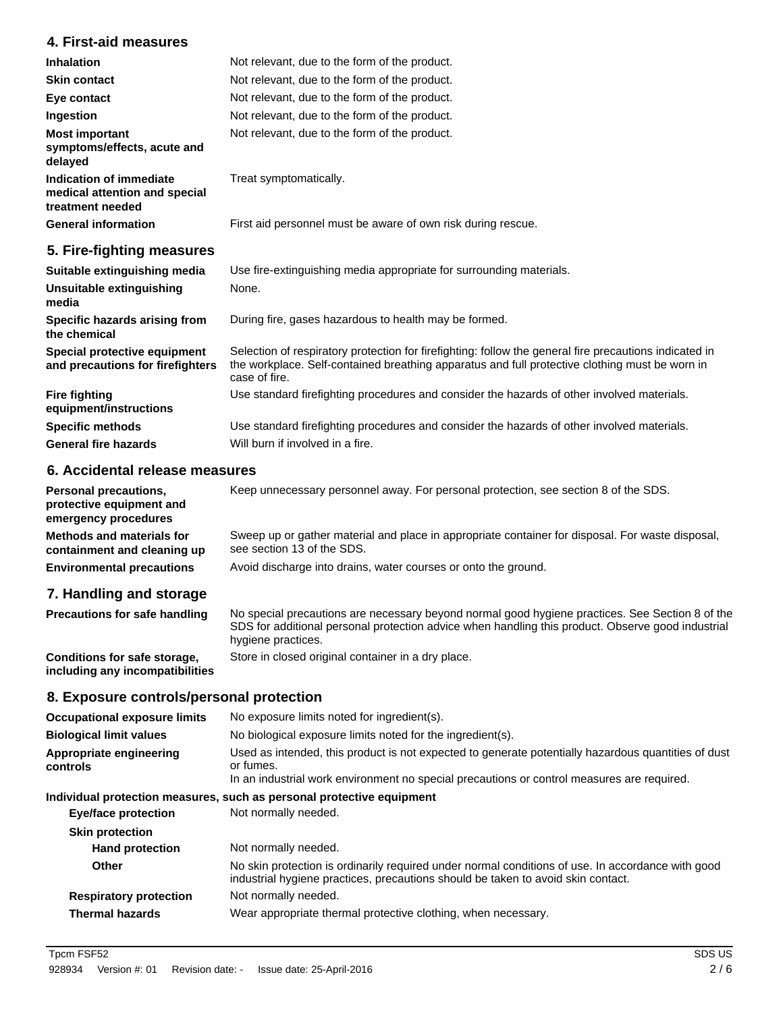# **4. First-aid measures**

| <b>Inhalation</b>                                                            | Not relevant, due to the form of the product.                                                                                                                                                                             |
|------------------------------------------------------------------------------|---------------------------------------------------------------------------------------------------------------------------------------------------------------------------------------------------------------------------|
| <b>Skin contact</b>                                                          | Not relevant, due to the form of the product.                                                                                                                                                                             |
| Eye contact                                                                  | Not relevant, due to the form of the product.                                                                                                                                                                             |
| Ingestion                                                                    | Not relevant, due to the form of the product.                                                                                                                                                                             |
| <b>Most important</b><br>symptoms/effects, acute and<br>delayed              | Not relevant, due to the form of the product.                                                                                                                                                                             |
| Indication of immediate<br>medical attention and special<br>treatment needed | Treat symptomatically.                                                                                                                                                                                                    |
| <b>General information</b>                                                   | First aid personnel must be aware of own risk during rescue.                                                                                                                                                              |
| 5. Fire-fighting measures                                                    |                                                                                                                                                                                                                           |
| Suitable extinguishing media                                                 | Use fire-extinguishing media appropriate for surrounding materials.                                                                                                                                                       |
| Unsuitable extinguishing<br>media                                            | None.                                                                                                                                                                                                                     |
| Specific hazards arising from<br>the chemical                                | During fire, gases hazardous to health may be formed.                                                                                                                                                                     |
| Special protective equipment<br>and precautions for firefighters             | Selection of respiratory protection for firefighting: follow the general fire precautions indicated in<br>the workplace. Self-contained breathing apparatus and full protective clothing must be worn in<br>case of fire. |
| <b>Fire fighting</b><br>equipment/instructions                               | Use standard firefighting procedures and consider the hazards of other involved materials.                                                                                                                                |
| <b>Specific methods</b>                                                      | Use standard firefighting procedures and consider the hazards of other involved materials.                                                                                                                                |

#### **6. Accidental release measures**

**General fire hazards** Will burn if involved in a fire.

Personal precautions, Keep unnecessary personnel away. For personal protection, see section 8 of the SDS. **protective equipment and emergency procedures** Sweep up or gather material and place in appropriate container for disposal. For waste disposal, see section 13 of the SDS. **Methods and materials for containment and cleaning up Environmental precautions** Avoid discharge into drains, water courses or onto the ground.

# **7. Handling and storage**

| <b>Precautions for safe handling</b>                            | No special precautions are necessary beyond normal good hygiene practices. See Section 8 of the<br>SDS for additional personal protection advice when handling this product. Observe good industrial<br>hygiene practices. |
|-----------------------------------------------------------------|----------------------------------------------------------------------------------------------------------------------------------------------------------------------------------------------------------------------------|
| Conditions for safe storage,<br>including any incompatibilities | Store in closed original container in a dry place.                                                                                                                                                                         |

### **8. Exposure controls/personal protection**

| <b>Occupational exposure limits</b> | No exposure limits noted for ingredient(s).                                                                                                                                                                    |  |  |
|-------------------------------------|----------------------------------------------------------------------------------------------------------------------------------------------------------------------------------------------------------------|--|--|
| <b>Biological limit values</b>      | No biological exposure limits noted for the ingredient(s).                                                                                                                                                     |  |  |
| Appropriate engineering<br>controls | Used as intended, this product is not expected to generate potentially hazardous quantities of dust<br>or fumes.<br>In an industrial work environment no special precautions or control measures are required. |  |  |
|                                     | Individual protection measures, such as personal protective equipment                                                                                                                                          |  |  |
| <b>Eye/face protection</b>          | Not normally needed.                                                                                                                                                                                           |  |  |
| <b>Skin protection</b>              |                                                                                                                                                                                                                |  |  |
| <b>Hand protection</b>              | Not normally needed.                                                                                                                                                                                           |  |  |
| Other                               | No skin protection is ordinarily required under normal conditions of use. In accordance with good<br>industrial hygiene practices, precautions should be taken to avoid skin contact.                          |  |  |
| <b>Respiratory protection</b>       | Not normally needed.                                                                                                                                                                                           |  |  |
| <b>Thermal hazards</b>              | Wear appropriate thermal protective clothing, when necessary.                                                                                                                                                  |  |  |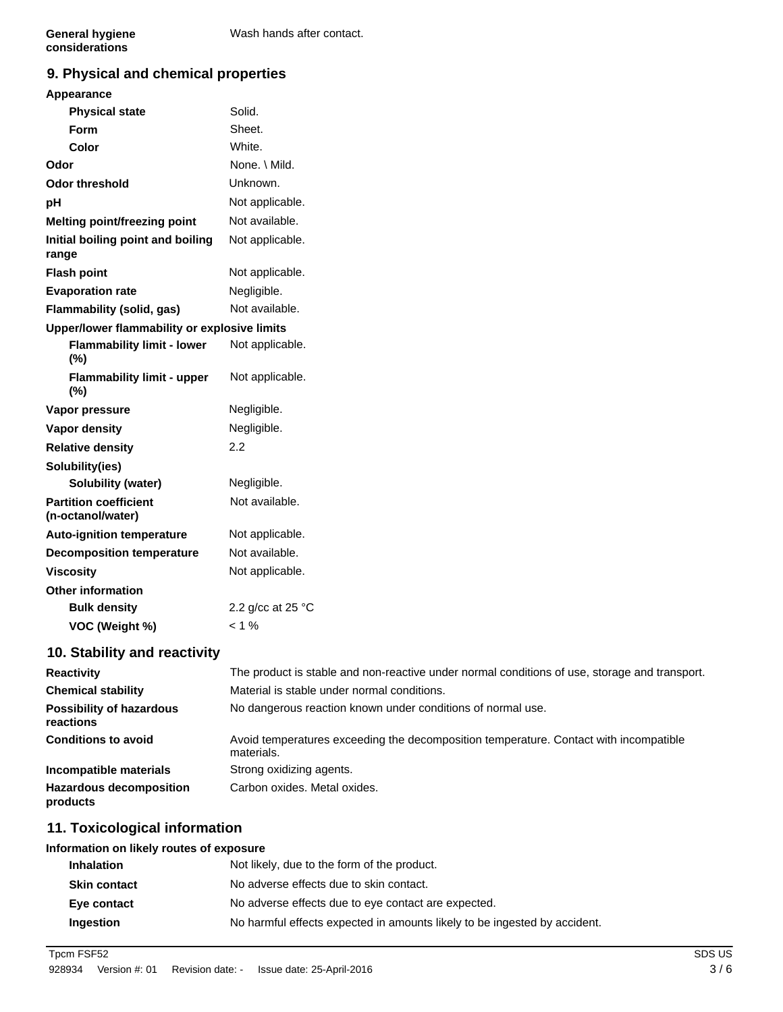# **9. Physical and chemical properties**

## **Appearance**

| <b>Physical state</b>                             | Solid.            |  |  |  |
|---------------------------------------------------|-------------------|--|--|--|
| Form                                              | Sheet.            |  |  |  |
| Color                                             | White.            |  |  |  |
| Odor                                              | None. \ Mild.     |  |  |  |
| <b>Odor threshold</b>                             | Unknown.          |  |  |  |
| рH                                                | Not applicable.   |  |  |  |
| Melting point/freezing point                      | Not available.    |  |  |  |
| Initial boiling point and boiling<br>range        | Not applicable.   |  |  |  |
| <b>Flash point</b>                                | Not applicable.   |  |  |  |
| <b>Evaporation rate</b>                           | Negligible.       |  |  |  |
| Flammability (solid, gas)                         | Not available.    |  |  |  |
| Upper/lower flammability or explosive limits      |                   |  |  |  |
| <b>Flammability limit - lower</b><br>(%)          | Not applicable.   |  |  |  |
| <b>Flammability limit - upper</b><br>(%)          | Not applicable.   |  |  |  |
| Vapor pressure                                    | Negligible.       |  |  |  |
| Vapor density                                     | Negligible.       |  |  |  |
| <b>Relative density</b>                           | 2.2               |  |  |  |
| Solubility(ies)                                   |                   |  |  |  |
| <b>Solubility (water)</b>                         | Negligible.       |  |  |  |
| <b>Partition coefficient</b><br>(n-octanol/water) | Not available.    |  |  |  |
| <b>Auto-ignition temperature</b>                  | Not applicable.   |  |  |  |
| <b>Decomposition temperature</b>                  | Not available.    |  |  |  |
| <b>Viscosity</b>                                  | Not applicable.   |  |  |  |
| <b>Other information</b>                          |                   |  |  |  |
| <b>Bulk density</b>                               | 2.2 g/cc at 25 °C |  |  |  |
| VOC (Weight %)                                    | $< 1\%$           |  |  |  |
| Chalability and an<br>بالمقاد والقار<br>1 M       |                   |  |  |  |

# **10. Stability and reactivity**

| <b>Reactivity</b>                            | The product is stable and non-reactive under normal conditions of use, storage and transport.       |
|----------------------------------------------|-----------------------------------------------------------------------------------------------------|
| <b>Chemical stability</b>                    | Material is stable under normal conditions.                                                         |
| <b>Possibility of hazardous</b><br>reactions | No dangerous reaction known under conditions of normal use.                                         |
| <b>Conditions to avoid</b>                   | Avoid temperatures exceeding the decomposition temperature. Contact with incompatible<br>materials. |
| Incompatible materials                       | Strong oxidizing agents.                                                                            |
| <b>Hazardous decomposition</b><br>products   | Carbon oxides. Metal oxides.                                                                        |

# **11. Toxicological information**

#### **Information on likely routes of exposure**

| <b>Inhalation</b>   | Not likely, due to the form of the product.                               |
|---------------------|---------------------------------------------------------------------------|
| <b>Skin contact</b> | No adverse effects due to skin contact.                                   |
| Eye contact         | No adverse effects due to eye contact are expected.                       |
| Ingestion           | No harmful effects expected in amounts likely to be ingested by accident. |

Tpcm FSF52 SDS US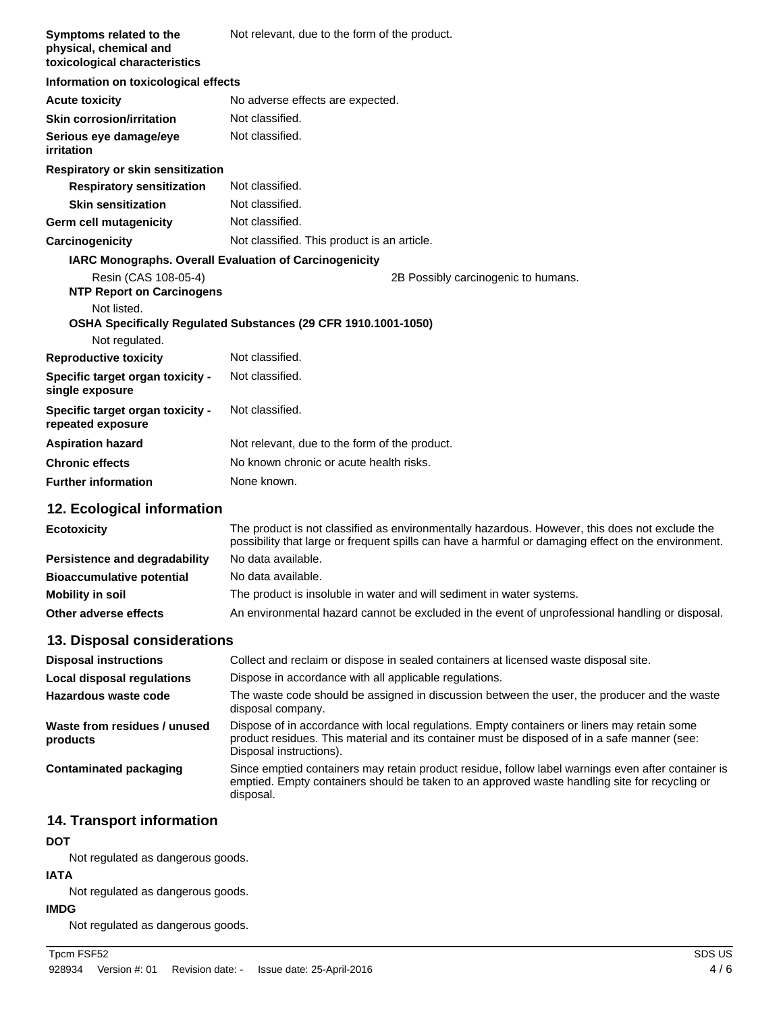| Symptoms related to the<br>physical, chemical and<br>toxicological characteristics | Not relevant, due to the form of the product.                                                                                                                                                         |  |  |  |
|------------------------------------------------------------------------------------|-------------------------------------------------------------------------------------------------------------------------------------------------------------------------------------------------------|--|--|--|
| Information on toxicological effects                                               |                                                                                                                                                                                                       |  |  |  |
| <b>Acute toxicity</b>                                                              | No adverse effects are expected.                                                                                                                                                                      |  |  |  |
| <b>Skin corrosion/irritation</b>                                                   | Not classified.                                                                                                                                                                                       |  |  |  |
| Serious eye damage/eye<br>irritation                                               | Not classified.                                                                                                                                                                                       |  |  |  |
| Respiratory or skin sensitization                                                  |                                                                                                                                                                                                       |  |  |  |
| <b>Respiratory sensitization</b>                                                   | Not classified.                                                                                                                                                                                       |  |  |  |
| <b>Skin sensitization</b>                                                          | Not classified.                                                                                                                                                                                       |  |  |  |
| <b>Germ cell mutagenicity</b>                                                      | Not classified.                                                                                                                                                                                       |  |  |  |
| Carcinogenicity                                                                    | Not classified. This product is an article.                                                                                                                                                           |  |  |  |
| <b>IARC Monographs. Overall Evaluation of Carcinogenicity</b>                      |                                                                                                                                                                                                       |  |  |  |
| Resin (CAS 108-05-4)<br><b>NTP Report on Carcinogens</b>                           | 2B Possibly carcinogenic to humans.                                                                                                                                                                   |  |  |  |
| Not listed.                                                                        | OSHA Specifically Regulated Substances (29 CFR 1910.1001-1050)                                                                                                                                        |  |  |  |
| Not regulated.                                                                     |                                                                                                                                                                                                       |  |  |  |
| <b>Reproductive toxicity</b>                                                       | Not classified.                                                                                                                                                                                       |  |  |  |
| Specific target organ toxicity -<br>single exposure                                | Not classified.                                                                                                                                                                                       |  |  |  |
| Specific target organ toxicity -<br>repeated exposure                              | Not classified.                                                                                                                                                                                       |  |  |  |
| <b>Aspiration hazard</b>                                                           | Not relevant, due to the form of the product.                                                                                                                                                         |  |  |  |
| <b>Chronic effects</b>                                                             | No known chronic or acute health risks.                                                                                                                                                               |  |  |  |
| <b>Further information</b>                                                         | None known.                                                                                                                                                                                           |  |  |  |
| 12. Ecological information                                                         |                                                                                                                                                                                                       |  |  |  |
| <b>Ecotoxicity</b>                                                                 | The product is not classified as environmentally hazardous. However, this does not exclude the<br>possibility that large or frequent spills can have a harmful or damaging effect on the environment. |  |  |  |
| Persistence and degradability                                                      | No data available.                                                                                                                                                                                    |  |  |  |
| <b>Bioaccumulative potential</b>                                                   | No data available.                                                                                                                                                                                    |  |  |  |
| <b>Mobility in soil</b>                                                            | The product is insoluble in water and will sediment in water systems.                                                                                                                                 |  |  |  |
| Other adverse effects                                                              | An environmental hazard cannot be excluded in the event of unprofessional handling or disposal.                                                                                                       |  |  |  |
| 13. Disposal considerations                                                        |                                                                                                                                                                                                       |  |  |  |

#### **Disposal instructions** Collect and reclaim or dispose in sealed containers at licensed waste disposal site. **Local disposal regulations** Dispose in accordance with all applicable regulations. The waste code should be assigned in discussion between the user, the producer and the waste disposal company. **Hazardous waste code** Dispose of in accordance with local regulations. Empty containers or liners may retain some product residues. This material and its container must be disposed of in a safe manner (see: Disposal instructions). **Waste from residues / unused products** Since emptied containers may retain product residue, follow label warnings even after container is emptied. Empty containers should be taken to an approved waste handling site for recycling or disposal. **Contaminated packaging**

# **14. Transport information**

#### **DOT**

Not regulated as dangerous goods.

#### **IATA**

Not regulated as dangerous goods.

#### **IMDG**

Not regulated as dangerous goods.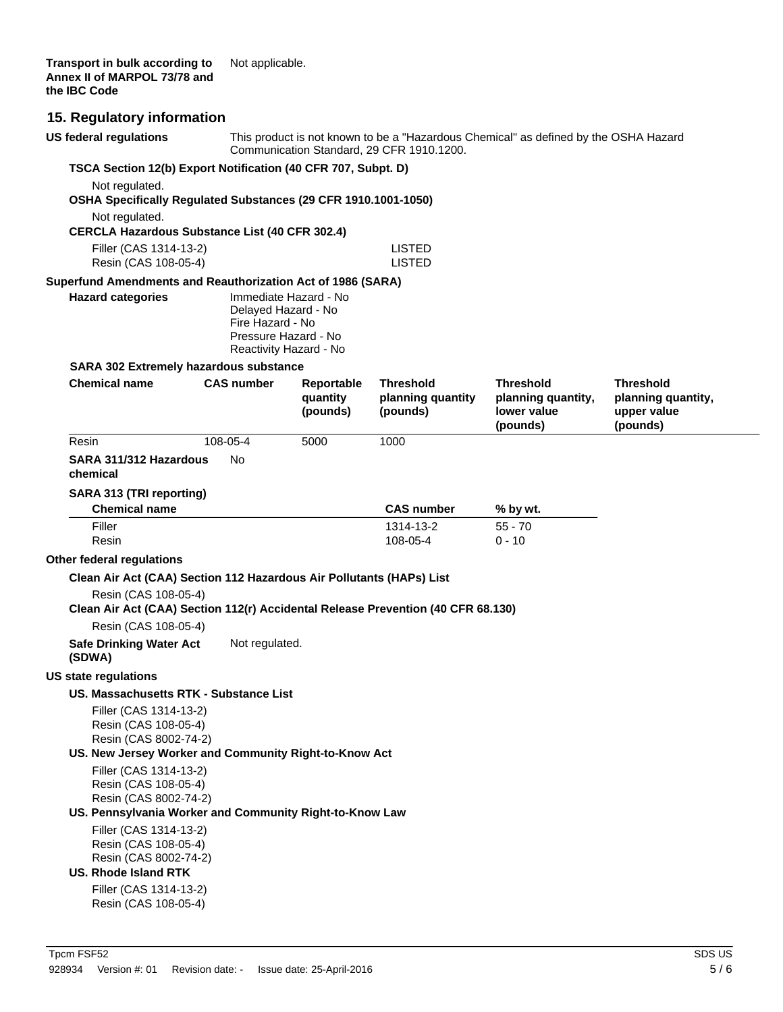# **15. Regulatory information**

| <b>US federal regulations</b>                                                                                                                                              |                                                                                           | This product is not known to be a "Hazardous Chemical" as defined by the OSHA Hazard<br>Communication Standard, 29 CFR 1910.1200. |                                |                                               |                                               |
|----------------------------------------------------------------------------------------------------------------------------------------------------------------------------|-------------------------------------------------------------------------------------------|-----------------------------------------------------------------------------------------------------------------------------------|--------------------------------|-----------------------------------------------|-----------------------------------------------|
|                                                                                                                                                                            | TSCA Section 12(b) Export Notification (40 CFR 707, Subpt. D)                             |                                                                                                                                   |                                |                                               |                                               |
| Not regulated.                                                                                                                                                             |                                                                                           |                                                                                                                                   |                                |                                               |                                               |
| OSHA Specifically Regulated Substances (29 CFR 1910.1001-1050)                                                                                                             |                                                                                           |                                                                                                                                   |                                |                                               |                                               |
| Not regulated.                                                                                                                                                             |                                                                                           |                                                                                                                                   |                                |                                               |                                               |
| <b>CERCLA Hazardous Substance List (40 CFR 302.4)</b>                                                                                                                      |                                                                                           |                                                                                                                                   |                                |                                               |                                               |
| Filler (CAS 1314-13-2)<br>Resin (CAS 108-05-4)                                                                                                                             |                                                                                           |                                                                                                                                   | <b>LISTED</b><br><b>LISTED</b> |                                               |                                               |
| Superfund Amendments and Reauthorization Act of 1986 (SARA)                                                                                                                |                                                                                           |                                                                                                                                   |                                |                                               |                                               |
| <b>Hazard categories</b>                                                                                                                                                   | Delayed Hazard - No<br>Fire Hazard - No<br>Pressure Hazard - No<br>Reactivity Hazard - No | Immediate Hazard - No                                                                                                             |                                |                                               |                                               |
| <b>SARA 302 Extremely hazardous substance</b>                                                                                                                              |                                                                                           |                                                                                                                                   |                                |                                               |                                               |
| <b>Chemical name</b>                                                                                                                                                       | <b>CAS number</b>                                                                         | Reportable                                                                                                                        | <b>Threshold</b>               | <b>Threshold</b>                              | Threshold                                     |
|                                                                                                                                                                            |                                                                                           | quantity<br>(pounds)                                                                                                              | planning quantity<br>(pounds)  | planning quantity,<br>lower value<br>(pounds) | planning quantity,<br>upper value<br>(pounds) |
| Resin                                                                                                                                                                      | 108-05-4                                                                                  | 5000                                                                                                                              | 1000                           |                                               |                                               |
| SARA 311/312 Hazardous<br>chemical                                                                                                                                         | No.                                                                                       |                                                                                                                                   |                                |                                               |                                               |
| SARA 313 (TRI reporting)                                                                                                                                                   |                                                                                           |                                                                                                                                   |                                |                                               |                                               |
| <b>Chemical name</b>                                                                                                                                                       |                                                                                           |                                                                                                                                   | <b>CAS number</b>              | % by wt.                                      |                                               |
| Filler<br>Resin                                                                                                                                                            |                                                                                           |                                                                                                                                   | 1314-13-2<br>108-05-4          | $55 - 70$<br>$0 - 10$                         |                                               |
| Other federal regulations                                                                                                                                                  |                                                                                           |                                                                                                                                   |                                |                                               |                                               |
| Clean Air Act (CAA) Section 112 Hazardous Air Pollutants (HAPs) List                                                                                                       |                                                                                           |                                                                                                                                   |                                |                                               |                                               |
| Resin (CAS 108-05-4)<br>Clean Air Act (CAA) Section 112(r) Accidental Release Prevention (40 CFR 68.130)                                                                   |                                                                                           |                                                                                                                                   |                                |                                               |                                               |
| Resin (CAS 108-05-4)                                                                                                                                                       |                                                                                           |                                                                                                                                   |                                |                                               |                                               |
| <b>Safe Drinking Water Act</b><br>(SDWA)                                                                                                                                   | Not regulated.                                                                            |                                                                                                                                   |                                |                                               |                                               |
| <b>US state regulations</b>                                                                                                                                                |                                                                                           |                                                                                                                                   |                                |                                               |                                               |
| US. Massachusetts RTK - Substance List<br>Filler (CAS 1314-13-2)<br>Resin (CAS 108-05-4)<br>Resin (CAS 8002-74-2)<br>US. New Jersey Worker and Community Right-to-Know Act |                                                                                           |                                                                                                                                   |                                |                                               |                                               |
| Filler (CAS 1314-13-2)<br>Resin (CAS 108-05-4)                                                                                                                             |                                                                                           |                                                                                                                                   |                                |                                               |                                               |
| Resin (CAS 8002-74-2)<br>US. Pennsylvania Worker and Community Right-to-Know Law                                                                                           |                                                                                           |                                                                                                                                   |                                |                                               |                                               |
| Filler (CAS 1314-13-2)<br>Resin (CAS 108-05-4)<br>Resin (CAS 8002-74-2)<br>US. Rhode Island RTK                                                                            |                                                                                           |                                                                                                                                   |                                |                                               |                                               |
| Filler (CAS 1314-13-2)<br>Resin (CAS 108-05-4)                                                                                                                             |                                                                                           |                                                                                                                                   |                                |                                               |                                               |